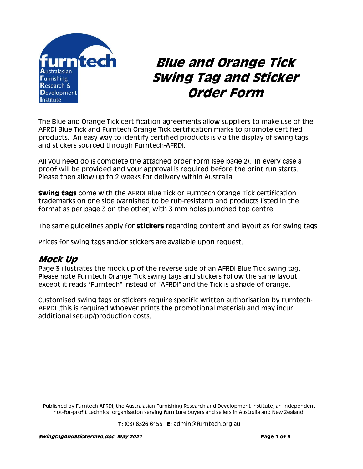

# **Blue and Orange Tick Swing Tag and Sticker Order Form**

The Blue and Orange Tick certification agreements allow suppliers to make use of the AFRDI Blue Tick and Furntech Orange Tick certification marks to promote certified products. An easy way to identify certified products is via the display of swing tags and stickers sourced through Furntech-AFRDI.

All you need do is complete the attached order form (see page 2). In every case a proof will be provided and your approval is required before the print run starts. Please then allow up to 2 weeks for delivery within Australia.

**Swing tags** come with the AFRDI Blue Tick or Furntech Orange Tick certification trademarks on one side (varnished to be rub-resistant) and products listed in the format as per page 3 on the other, with 3 mm holes punched top centre

The same guidelines apply for **stickers** regarding content and layout as for swing tags.

Prices for swing tags and/or stickers are available upon request.

#### **Mock Up**

Page 3 illustrates the mock up of the reverse side of an AFRDI Blue Tick swing tag. Please note Furntech Orange Tick swing tags and stickers follow the same layout except it reads "Furntech" instead of "AFRDI" and the Tick is a shade of orange.

Customised swing tags or stickers require specific written authorisation by Furntech-AFRDI (this is required whoever prints the promotional material) and may incur additional set-up/production costs.

Published by Furntech-AFRDI, the Australasian Furnishing Research and Development Institute, an independent not-for-profit technical organisation serving furniture buyers and sellers in Australia and New Zealand.

**T**: (03) 6326 6155 **E**: admin@furntech.org.au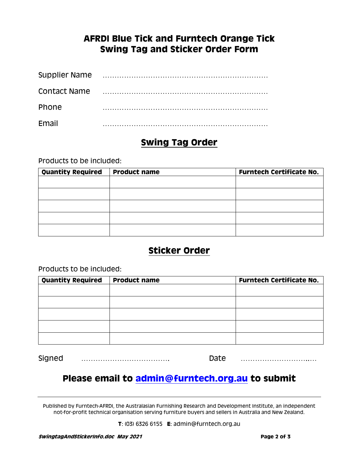#### **AFRDI Blue Tick and Furntech Orange Tick Swing Tag and Sticker Order Form**

| <b>Supplier Name</b> |  |
|----------------------|--|
| <b>Contact Name</b>  |  |
| Phone                |  |
| <b>Fmail</b>         |  |

#### **Swing Tag Order**

Products to be included:

| <b>Quantity Required</b> | <b>Product name</b> | <b>Furntech Certificate No.</b> |
|--------------------------|---------------------|---------------------------------|
|                          |                     |                                 |
|                          |                     |                                 |
|                          |                     |                                 |
|                          |                     |                                 |
|                          |                     |                                 |
|                          |                     |                                 |

### **Sticker Order**

Products to be included:

| <b>Quantity Required</b> | <b>Product name</b> | <b>Furntech Certificate No.</b> |
|--------------------------|---------------------|---------------------------------|
|                          |                     |                                 |
|                          |                     |                                 |
|                          |                     |                                 |
|                          |                     |                                 |
|                          |                     |                                 |

Signed ………………………………. Date ………………………..…

## **Please email to [admin@furntech.org.au](mailto:admin@furntech.org.au) to submit**

Published by Furntech-AFRDI, the Australasian Furnishing Research and Development Institute, an independent not-for-profit technical organisation serving furniture buyers and sellers in Australia and New Zealand.

**T**: (03) 6326 6155 **E**: admin@furntech.org.au